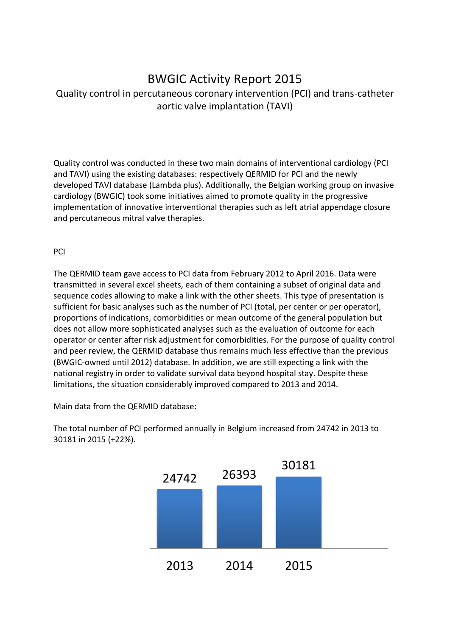## BWGIC Activity Report 2015

### Quality control in percutaneous coronary intervention (PCI) and trans-catheter aortic valve implantation (TAVI)

Quality control was conducted in these two main domains of interventional cardiology (PCI and TAVI) using the existing databases: respectively QERMID for PCI and the newly developed TAVI database (Lambda plus). Additionally, the Belgian working group on invasive cardiology (BWGIC) took some initiatives aimed to promote quality in the progressive implementation of innovative interventional therapies such as left atrial appendage closure and percutaneous mitral valve therapies.

### PCI

The QERMID team gave access to PCI data from February 2012 to April 2016. Data were transmitted in several excel sheets, each of them containing a subset of original data and sequence codes allowing to make a link with the other sheets. This type of presentation is sufficient for basic analyses such as the number of PCI (total, per center or per operator), proportions of indications, comorbidities or mean outcome of the general population but does not allow more sophisticated analyses such as the evaluation of outcome for each operator or center after risk adjustment for comorbidities. For the purpose of quality control and peer review, the QERMID database thus remains much less effective than the previous (BWGIC-owned until 2012) database. In addition, we are still expecting a link with the national registry in order to validate survival data beyond hospital stay. Despite these limitations, the situation considerably improved compared to 2013 and 2014.

Main data from the QERMID database:



The total number of PCI performed annually in Belgium increased from 24742 in 2013 to 30181 in 2015 (+22%).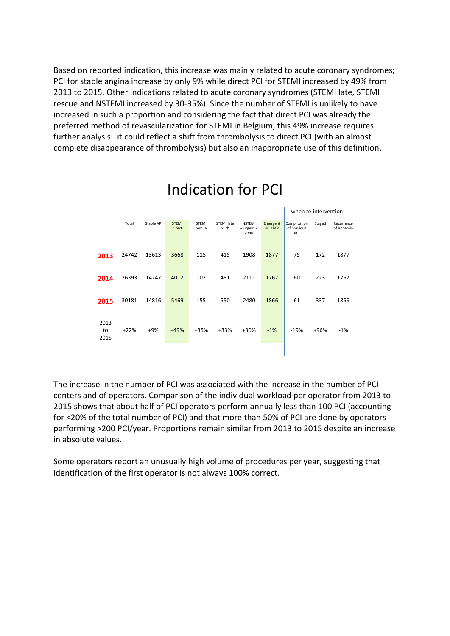Based on reported indication, this increase was mainly related to acute coronary syndromes; PCI for stable angina increase by only 9% while direct PCI for STEMI increased by 49% from 2013 to 2015. Other indications related to acute coronary syndromes (STEMI late, STEMI rescue and NSTEMI increased by 30-35%). Since the number of STEMI is unlikely to have increased in such a proportion and considering the fact that direct PCI was already the preferred method of revascularization for STEMI in Belgium, this 49% increase requires further analysis: it could reflect a shift from thrombolysis to direct PCI (with an almost complete disappearance of thrombolysis) but also an inappropriate use of this definition.

|                    |        |           |                        |                        |                    |                                           |                     | when re-intervention               |        |                           |
|--------------------|--------|-----------|------------------------|------------------------|--------------------|-------------------------------------------|---------------------|------------------------------------|--------|---------------------------|
|                    | Total  | Stable AP | <b>STEMI</b><br>direct | <b>STEMI</b><br>rescue | STEMI late<br>>12h | <b>NSTEMI</b><br>« urgent »<br>$<$ 24 $h$ | Emergent<br>PCI UAP | Complication<br>of previous<br>PCI | Staged | Recurrence<br>of ischemia |
| 2013               | 24742  | 13613     | 3668                   | 115                    | 415                | 1908                                      | 1877                | 75                                 | 172    | 1877                      |
| 2014               | 26393  | 14247     | 4012                   | 102                    | 481                | 2111                                      | 1767                | 60                                 | 223    | 1767                      |
| 2015               | 30181  | 14816     | 5469                   | 155                    | 550                | 2480                                      | 1866                | 61                                 | 337    | 1866                      |
| 2013<br>to<br>2015 | $+22%$ | $+9%$     | $+49%$                 | $+35%$                 | +33%               | $+30%$                                    | $-1%$               | $-19%$                             | +96%   | $-1%$                     |
|                    |        |           |                        |                        |                    |                                           |                     |                                    |        |                           |

## Indication for PCI

The increase in the number of PCI was associated with the increase in the number of PCI centers and of operators. Comparison of the individual workload per operator from 2013 to 2015 shows that about half of PCI operators perform annually less than 100 PCI (accounting for <20% of the total number of PCI) and that more than 50% of PCI are done by operators performing >200 PCI/year. Proportions remain similar from 2013 to 2015 despite an increase in absolute values.

Some operators report an unusually high volume of procedures per year, suggesting that identification of the first operator is not always 100% correct.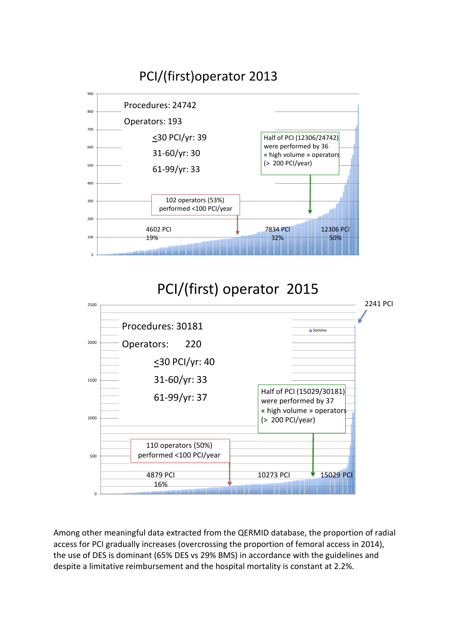

# PCI/(first) operator 2015



Among other meaningful data extracted from the QERMID database, the proportion of radial access for PCI gradually increases (overcrossing the proportion of femoral access in 2014), the use of DES is dominant (65% DES vs 29% BMS) in accordance with the guidelines and despite a limitative reimbursement and the hospital mortality is constant at 2.2%.